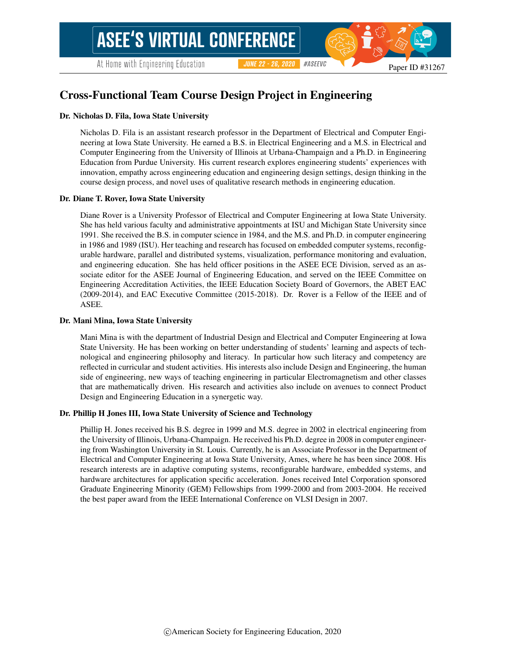At Home with Engineering Education

#ASEEVC **JUNE 22 - 26, 2020** 

# Cross-Functional Team Course Design Project in Engineering

#### Dr. Nicholas D. Fila, Iowa State University

Nicholas D. Fila is an assistant research professor in the Department of Electrical and Computer Engineering at Iowa State University. He earned a B.S. in Electrical Engineering and a M.S. in Electrical and Computer Engineering from the University of Illinois at Urbana-Champaign and a Ph.D. in Engineering Education from Purdue University. His current research explores engineering students' experiences with innovation, empathy across engineering education and engineering design settings, design thinking in the course design process, and novel uses of qualitative research methods in engineering education.

#### Dr. Diane T. Rover, Iowa State University

Diane Rover is a University Professor of Electrical and Computer Engineering at Iowa State University. She has held various faculty and administrative appointments at ISU and Michigan State University since 1991. She received the B.S. in computer science in 1984, and the M.S. and Ph.D. in computer engineering in 1986 and 1989 (ISU). Her teaching and research has focused on embedded computer systems, reconfigurable hardware, parallel and distributed systems, visualization, performance monitoring and evaluation, and engineering education. She has held officer positions in the ASEE ECE Division, served as an associate editor for the ASEE Journal of Engineering Education, and served on the IEEE Committee on Engineering Accreditation Activities, the IEEE Education Society Board of Governors, the ABET EAC (2009-2014), and EAC Executive Committee (2015-2018). Dr. Rover is a Fellow of the IEEE and of ASEE.

#### Dr. Mani Mina, Iowa State University

Mani Mina is with the department of Industrial Design and Electrical and Computer Engineering at Iowa State University. He has been working on better understanding of students' learning and aspects of technological and engineering philosophy and literacy. In particular how such literacy and competency are reflected in curricular and student activities. His interests also include Design and Engineering, the human side of engineering, new ways of teaching engineering in particular Electromagnetism and other classes that are mathematically driven. His research and activities also include on avenues to connect Product Design and Engineering Education in a synergetic way.

#### Dr. Phillip H Jones III, Iowa State University of Science and Technology

Phillip H. Jones received his B.S. degree in 1999 and M.S. degree in 2002 in electrical engineering from the University of Illinois, Urbana-Champaign. He received his Ph.D. degree in 2008 in computer engineering from Washington University in St. Louis. Currently, he is an Associate Professor in the Department of Electrical and Computer Engineering at Iowa State University, Ames, where he has been since 2008. His research interests are in adaptive computing systems, reconfigurable hardware, embedded systems, and hardware architectures for application specific acceleration. Jones received Intel Corporation sponsored Graduate Engineering Minority (GEM) Fellowships from 1999-2000 and from 2003-2004. He received the best paper award from the IEEE International Conference on VLSI Design in 2007.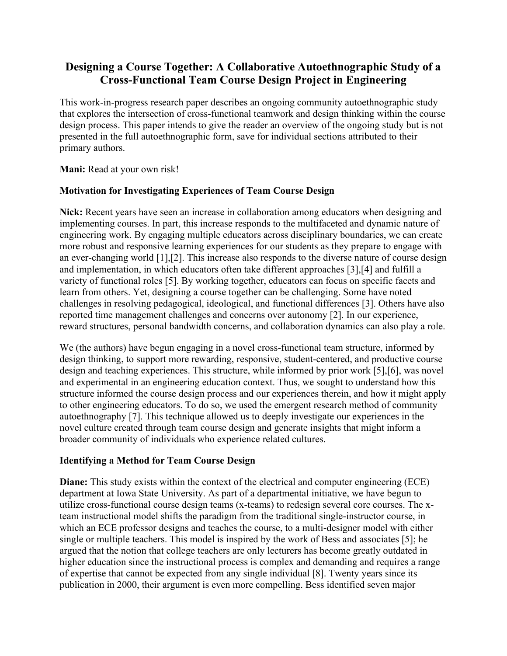# **Designing a Course Together: A Collaborative Autoethnographic Study of a Cross-Functional Team Course Design Project in Engineering**

This work-in-progress research paper describes an ongoing community autoethnographic study that explores the intersection of cross-functional teamwork and design thinking within the course design process. This paper intends to give the reader an overview of the ongoing study but is not presented in the full autoethnographic form, save for individual sections attributed to their primary authors.

**Mani:** Read at your own risk!

### **Motivation for Investigating Experiences of Team Course Design**

**Nick:** Recent years have seen an increase in collaboration among educators when designing and implementing courses. In part, this increase responds to the multifaceted and dynamic nature of engineering work. By engaging multiple educators across disciplinary boundaries, we can create more robust and responsive learning experiences for our students as they prepare to engage with an ever-changing world [1],[2]. This increase also responds to the diverse nature of course design and implementation, in which educators often take different approaches [3],[4] and fulfill a variety of functional roles [5]. By working together, educators can focus on specific facets and learn from others. Yet, designing a course together can be challenging. Some have noted challenges in resolving pedagogical, ideological, and functional differences [3]. Others have also reported time management challenges and concerns over autonomy [2]. In our experience, reward structures, personal bandwidth concerns, and collaboration dynamics can also play a role.

We (the authors) have begun engaging in a novel cross-functional team structure, informed by design thinking, to support more rewarding, responsive, student-centered, and productive course design and teaching experiences. This structure, while informed by prior work [5],[6], was novel and experimental in an engineering education context. Thus, we sought to understand how this structure informed the course design process and our experiences therein, and how it might apply to other engineering educators. To do so, we used the emergent research method of community autoethnography [7]. This technique allowed us to deeply investigate our experiences in the novel culture created through team course design and generate insights that might inform a broader community of individuals who experience related cultures.

### **Identifying a Method for Team Course Design**

**Diane:** This study exists within the context of the electrical and computer engineering (ECE) department at Iowa State University. As part of a departmental initiative, we have begun to utilize cross-functional course design teams (x-teams) to redesign several core courses. The xteam instructional model shifts the paradigm from the traditional single-instructor course, in which an ECE professor designs and teaches the course, to a multi-designer model with either single or multiple teachers. This model is inspired by the work of Bess and associates [5]; he argued that the notion that college teachers are only lecturers has become greatly outdated in higher education since the instructional process is complex and demanding and requires a range of expertise that cannot be expected from any single individual [8]. Twenty years since its publication in 2000, their argument is even more compelling. Bess identified seven major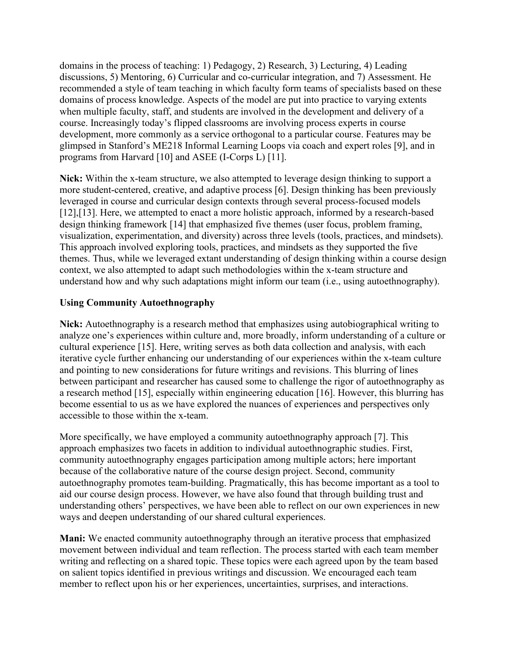domains in the process of teaching: 1) Pedagogy, 2) Research, 3) Lecturing, 4) Leading discussions, 5) Mentoring, 6) Curricular and co-curricular integration, and 7) Assessment. He recommended a style of team teaching in which faculty form teams of specialists based on these domains of process knowledge. Aspects of the model are put into practice to varying extents when multiple faculty, staff, and students are involved in the development and delivery of a course. Increasingly today's flipped classrooms are involving process experts in course development, more commonly as a service orthogonal to a particular course. Features may be glimpsed in Stanford's ME218 Informal Learning Loops via coach and expert roles [9], and in programs from Harvard [10] and ASEE (I-Corps L) [11].

**Nick:** Within the x-team structure, we also attempted to leverage design thinking to support a more student-centered, creative, and adaptive process [6]. Design thinking has been previously leveraged in course and curricular design contexts through several process-focused models [12],[13]. Here, we attempted to enact a more holistic approach, informed by a research-based design thinking framework [14] that emphasized five themes (user focus, problem framing, visualization, experimentation, and diversity) across three levels (tools, practices, and mindsets). This approach involved exploring tools, practices, and mindsets as they supported the five themes. Thus, while we leveraged extant understanding of design thinking within a course design context, we also attempted to adapt such methodologies within the x-team structure and understand how and why such adaptations might inform our team (i.e., using autoethnography).

### **Using Community Autoethnography**

**Nick:** Autoethnography is a research method that emphasizes using autobiographical writing to analyze one's experiences within culture and, more broadly, inform understanding of a culture or cultural experience [15]. Here, writing serves as both data collection and analysis, with each iterative cycle further enhancing our understanding of our experiences within the x-team culture and pointing to new considerations for future writings and revisions. This blurring of lines between participant and researcher has caused some to challenge the rigor of autoethnography as a research method [15], especially within engineering education [16]. However, this blurring has become essential to us as we have explored the nuances of experiences and perspectives only accessible to those within the x-team.

More specifically, we have employed a community autoethnography approach [7]. This approach emphasizes two facets in addition to individual autoethnographic studies. First, community autoethnography engages participation among multiple actors; here important because of the collaborative nature of the course design project. Second, community autoethnography promotes team-building. Pragmatically, this has become important as a tool to aid our course design process. However, we have also found that through building trust and understanding others' perspectives, we have been able to reflect on our own experiences in new ways and deepen understanding of our shared cultural experiences.

**Mani:** We enacted community autoethnography through an iterative process that emphasized movement between individual and team reflection. The process started with each team member writing and reflecting on a shared topic. These topics were each agreed upon by the team based on salient topics identified in previous writings and discussion. We encouraged each team member to reflect upon his or her experiences, uncertainties, surprises, and interactions.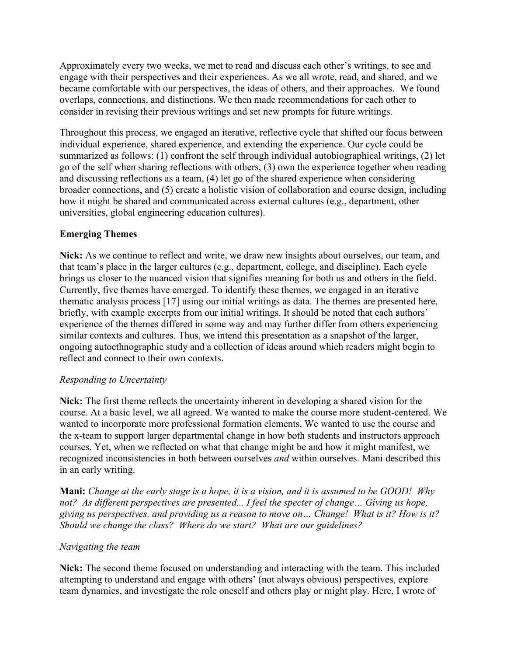Approximately every two weeks, we met to read and discuss each other's writings, to see and engage with their perspectives and their experiences. As we all wrote, read, and shared, and we became comfortable with our perspectives, the ideas of others, and their approaches. We found overlaps, connections, and distinctions. We then made recommendations for each other to consider in revising their previous writings and set new prompts for future writings.

Throughout this process, we engaged an iterative, reflective cycle that shifted our focus between individual experience, shared experience, and extending the experience. Our cycle could be summarized as follows: (1) confront the self through individual autobiographical writings, (2) let go of the self when sharing reflections with others, (3) own the experience together when reading and discussing reflections as a team, (4) let go of the shared experience when considering broader connections, and (5) create a holistic vision of collaboration and course design, including how it might be shared and communicated across external cultures (e.g., department, other universities, global engineering education cultures).

### **Emerging Themes**

**Nick:** As we continue to reflect and write, we draw new insights about ourselves, our team, and that team's place in the larger cultures (e.g., department, college, and discipline). Each cycle brings us closer to the nuanced vision that signifies meaning for both us and others in the field. Currently, five themes have emerged. To identify these themes, we engaged in an iterative thematic analysis process [17] using our initial writings as data. The themes are presented here, briefly, with example excerpts from our initial writings. It should be noted that each authors' experience of the themes differed in some way and may further differ from others experiencing similar contexts and cultures. Thus, we intend this presentation as a snapshot of the larger, ongoing autoethnographic study and a collection of ideas around which readers might begin to reflect and connect to their own contexts.

### *Responding to Uncertainty*

**Nick:** The first theme reflects the uncertainty inherent in developing a shared vision for the course. At a basic level, we all agreed. We wanted to make the course more student-centered. We wanted to incorporate more professional formation elements. We wanted to use the course and the x-team to support larger departmental change in how both students and instructors approach courses. Yet, when we reflected on what that change might be and how it might manifest, we recognized inconsistencies in both between ourselves *and* within ourselves. Mani described this in an early writing.

**Mani:** *Change at the early stage is a hope, it is a vision, and it is assumed to be GOOD! Why not? As different perspectives are presented... I feel the specter of change… Giving us hope, giving us perspectives, and providing us a reason to move on… Change! What is it? How is it? Should we change the class? Where do we start? What are our guidelines?*

### *Navigating the team*

**Nick:** The second theme focused on understanding and interacting with the team. This included attempting to understand and engage with others' (not always obvious) perspectives, explore team dynamics, and investigate the role oneself and others play or might play. Here, I wrote of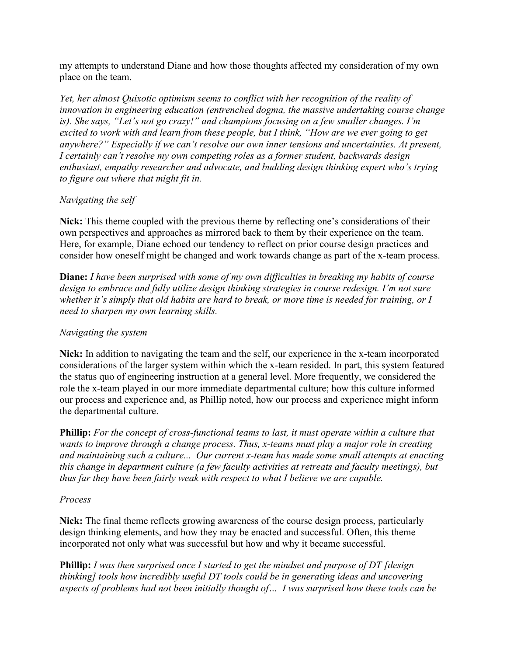my attempts to understand Diane and how those thoughts affected my consideration of my own place on the team.

*Yet, her almost Quixotic optimism seems to conflict with her recognition of the reality of innovation in engineering education (entrenched dogma, the massive undertaking course change is). She says, "Let's not go crazy!" and champions focusing on a few smaller changes. I'm excited to work with and learn from these people, but I think, "How are we ever going to get anywhere?" Especially if we can't resolve our own inner tensions and uncertainties. At present, I certainly can't resolve my own competing roles as a former student, backwards design enthusiast, empathy researcher and advocate, and budding design thinking expert who's trying to figure out where that might fit in.*

### *Navigating the self*

**Nick:** This theme coupled with the previous theme by reflecting one's considerations of their own perspectives and approaches as mirrored back to them by their experience on the team. Here, for example, Diane echoed our tendency to reflect on prior course design practices and consider how oneself might be changed and work towards change as part of the x-team process.

**Diane:** *I have been surprised with some of my own difficulties in breaking my habits of course design to embrace and fully utilize design thinking strategies in course redesign. I'm not sure whether it's simply that old habits are hard to break, or more time is needed for training, or I need to sharpen my own learning skills.*

### *Navigating the system*

**Nick:** In addition to navigating the team and the self, our experience in the x-team incorporated considerations of the larger system within which the x-team resided. In part, this system featured the status quo of engineering instruction at a general level. More frequently, we considered the role the x-team played in our more immediate departmental culture; how this culture informed our process and experience and, as Phillip noted, how our process and experience might inform the departmental culture.

**Phillip:** *For the concept of cross-functional teams to last, it must operate within a culture that wants to improve through a change process. Thus, x-teams must play a major role in creating and maintaining such a culture... Our current x-team has made some small attempts at enacting this change in department culture (a few faculty activities at retreats and faculty meetings), but thus far they have been fairly weak with respect to what I believe we are capable.*

### *Process*

**Nick:** The final theme reflects growing awareness of the course design process, particularly design thinking elements, and how they may be enacted and successful. Often, this theme incorporated not only what was successful but how and why it became successful.

**Phillip:** *I was then surprised once I started to get the mindset and purpose of DT [design thinking] tools how incredibly useful DT tools could be in generating ideas and uncovering aspects of problems had not been initially thought of… I was surprised how these tools can be*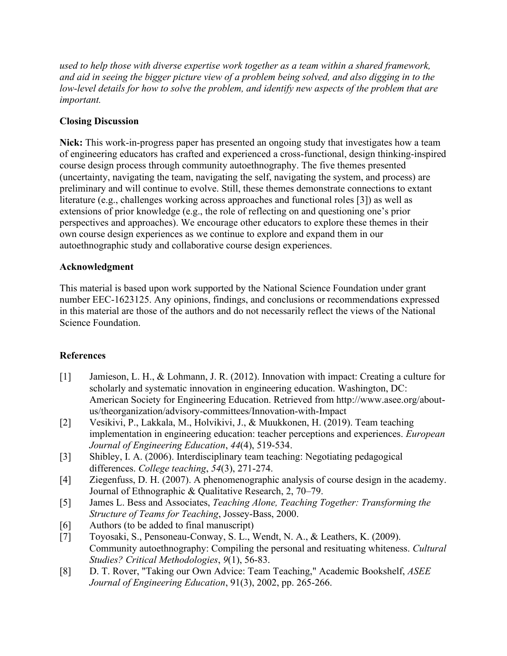*used to help those with diverse expertise work together as a team within a shared framework, and aid in seeing the bigger picture view of a problem being solved, and also digging in to the low-level details for how to solve the problem, and identify new aspects of the problem that are important.*

## **Closing Discussion**

**Nick:** This work-in-progress paper has presented an ongoing study that investigates how a team of engineering educators has crafted and experienced a cross-functional, design thinking-inspired course design process through community autoethnography. The five themes presented (uncertainty, navigating the team, navigating the self, navigating the system, and process) are preliminary and will continue to evolve. Still, these themes demonstrate connections to extant literature (e.g., challenges working across approaches and functional roles [3]) as well as extensions of prior knowledge (e.g., the role of reflecting on and questioning one's prior perspectives and approaches). We encourage other educators to explore these themes in their own course design experiences as we continue to explore and expand them in our autoethnographic study and collaborative course design experiences.

### **Acknowledgment**

This material is based upon work supported by the National Science Foundation under grant number EEC-1623125. Any opinions, findings, and conclusions or recommendations expressed in this material are those of the authors and do not necessarily reflect the views of the National Science Foundation.

# **References**

- [1] Jamieson, L. H., & Lohmann, J. R. (2012). Innovation with impact: Creating a culture for scholarly and systematic innovation in engineering education. Washington, DC: American Society for Engineering Education. Retrieved from http://www.asee.org/aboutus/theorganization/advisory-committees/Innovation-with-Impact
- [2] Vesikivi, P., Lakkala, M., Holvikivi, J., & Muukkonen, H. (2019). Team teaching implementation in engineering education: teacher perceptions and experiences. *European Journal of Engineering Education*, *44*(4), 519-534.
- [3] Shibley, I. A. (2006). Interdisciplinary team teaching: Negotiating pedagogical differences. *College teaching*, *54*(3), 271-274.
- [4] Ziegenfuss, D. H. (2007). A phenomenographic analysis of course design in the academy. Journal of Ethnographic & Qualitative Research, 2, 70–79.
- [5] James L. Bess and Associates, *Teaching Alone, Teaching Together: Transforming the Structure of Teams for Teaching*, Jossey-Bass, 2000.
- [6] Authors (to be added to final manuscript)
- [7] Toyosaki, S., Pensoneau-Conway, S. L., Wendt, N. A., & Leathers, K. (2009). Community autoethnography: Compiling the personal and resituating whiteness. *Cultural Studies? Critical Methodologies*, *9*(1), 56-83.
- [8] D. T. Rover, "Taking our Own Advice: Team Teaching," Academic Bookshelf, *ASEE Journal of Engineering Education*, 91(3), 2002, pp. 265-266.